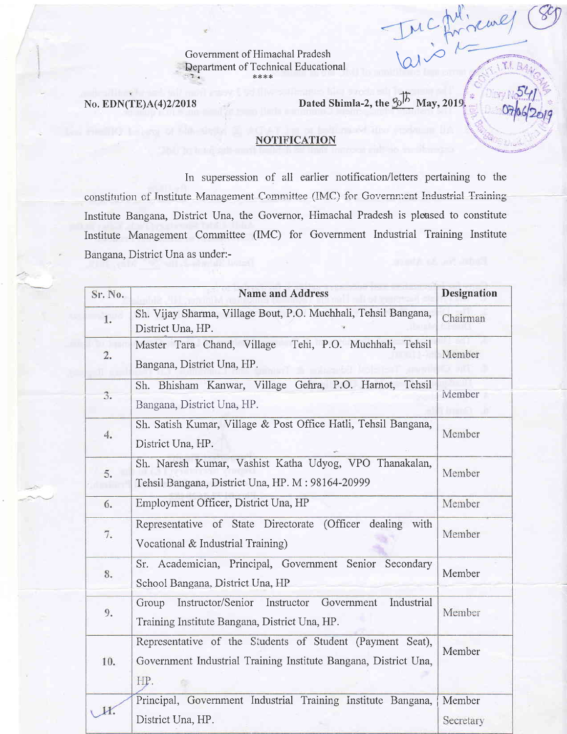Government of Himachal Pradesh Department of Technical Educational

No. EDN(TE)A(4)2/2018

Dated Shimla-2, the  $3\sqrt{5}$  May, 2019,

Inc for race

T.I. BA

## **NOTIFICATION**

In supersession of all earlier notification/letters pertaining to the constitution of Institute Management Committee (IMC) for Government Industrial Training Institute Bangana, District Una, the Governor, Himachal Pradesh is pleased to constitute Institute Management Committee (IMC) for Government Industrial Training Institute Bangana, District Una as under:-

| Sr. No. | <b>Name and Address</b>                                                                                                             | <b>Designation</b>  |
|---------|-------------------------------------------------------------------------------------------------------------------------------------|---------------------|
| 1.      | Sh. Vijay Sharma, Village Bout, P.O. Muchhali, Tehsil Bangana,<br>District Una, HP.                                                 | Chairman            |
| 2.      | Tehi, P.O. Muchhali, Tehsil<br>Master Tara Chand, Village<br>Bangana, District Una, HP.                                             | Member              |
| 3.      | Sh. Bhisham Kanwar, Village Gehra, P.O. Harnot, Tehsil<br>Bangana, District Una, HP.                                                | Member              |
| 4.      | Sh. Satish Kumar, Village & Post Office Hatli, Tehsil Bangana,<br>District Una, HP.                                                 | Member              |
| 5.      | Sh. Naresh Kumar, Vashist Katha Udyog, VPO Thanakalan,<br>Tehsil Bangana, District Una, HP. M: 98164-20999                          | Member              |
| 6.      | Employment Officer, District Una, HP                                                                                                | Member              |
| 7.      | Representative of State Directorate<br>(Officer<br>dealing<br>with<br>Vocational & Industrial Training)                             | Member              |
| 8.      | Sr. Academician, Principal, Government Senior Secondary<br>School Bangana, District Una, HP                                         | Member              |
| 9.      | Industrial<br>Instructor/Senior<br>Instructor<br>Government<br>Group<br>Training Institute Bangana, District Una, HP.               | Member              |
| 10.     | Representative of the Students of Student (Payment Seat),<br>Government Industrial Training Institute Bangana, District Una,<br>HP. | Member              |
|         | Principal, Government Industrial Training Institute Bangana,<br>District Una, HP.                                                   | Member<br>Secretary |